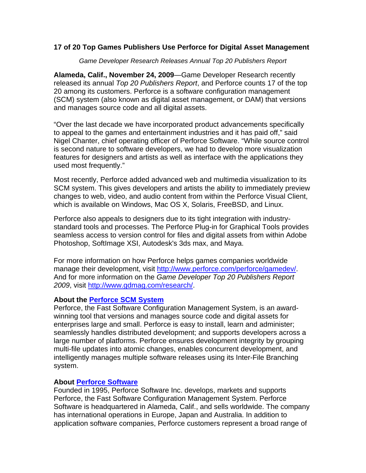## **17 of 20 Top Games Publishers Use Perforce for Digital Asset Management**

*Game Developer Research Releases Annual Top 20 Publishers Report* 

**Alameda, Calif., November 24, 2009**—Game Developer Research recently released its annual *Top 20 Publishers Report*, and Perforce counts 17 of the top 20 among its customers. Perforce is a software configuration management (SCM) system (also known as digital asset management, or DAM) that versions and manages source code and all digital assets.

"Over the last decade we have incorporated product advancements specifically to appeal to the games and entertainment industries and it has paid off," said Nigel Chanter, chief operating officer of Perforce Software. "While source control is second nature to software developers, we had to develop more visualization features for designers and artists as well as interface with the applications they used most frequently."

Most recently, Perforce added advanced web and multimedia visualization to its SCM system. This gives developers and artists the ability to immediately preview changes to web, video, and audio content from within the Perforce Visual Client, which is available on Windows, Mac OS X, Solaris, FreeBSD, and Linux.

Perforce also appeals to designers due to its tight integration with industrystandard tools and processes. The Perforce Plug-in for Graphical Tools provides seamless access to version control for files and digital assets from within Adobe Photoshop, SoftImage XSI, Autodesk's 3ds max, and Maya.

For more information on how Perforce helps games companies worldwide manage their development, visit [http://www.perforce.com/perforce/gamedev/](http://www.perforce.com/perforce/gamedev/index.html?utm_source=pr&utm_medium=release&utm_campaign=pr118_2009Top20Publishers). And for more information on the *Game Developer Top 20 Publishers Report 2009*, visit [http://www.gdmag.com/research/.](http://www.gdmag.com/research/)

## **About the [Perforce SCM System](http://www.perforce.com/perforce/products.html?utm_source=pr&utm_medium=release&utm_content=product&utm_campaign=pr118_Top20Publishers)**

Perforce, the Fast Software Configuration Management System, is an awardwinning tool that versions and manages source code and digital assets for enterprises large and small. Perforce is easy to install, learn and administer; seamlessly handles distributed development; and supports developers across a large number of platforms. Perforce ensures development integrity by grouping multi-file updates into atomic changes, enables concurrent development, and intelligently manages multiple software releases using its Inter-File Branching system.

## **About [Perforce Software](http://www.perforce.com/perforce/corp.html?utm_source=pr&utm_medium=release&utm_content=about&utm_campaign=pr118_Top20Publishers)**

Founded in 1995, Perforce Software Inc. develops, markets and supports Perforce, the Fast Software Configuration Management System. Perforce Software is headquartered in Alameda, Calif., and sells worldwide. The company has international operations in Europe, Japan and Australia. In addition to application software companies, Perforce customers represent a broad range of